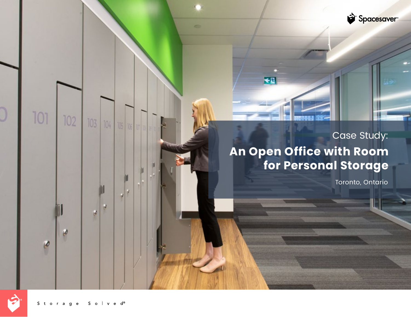

# **An Open Office with Room for Personal Storage** Case Study:

 $\blacktriangleleft 2$ 

œ

Toronto, Ontario



101

102

 $\boldsymbol{\theta}$ 

 $\boldsymbol{\beta}$ 

103 104 105

ø ø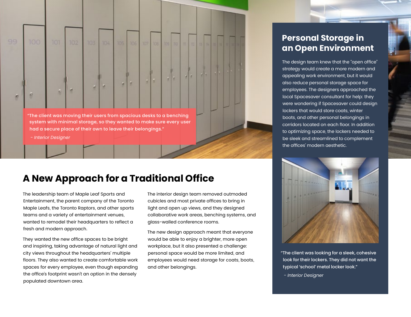

### **A New Approach for a Traditional Office**

The leadership team of Maple Leaf Sports and Entertainment, the parent company of the Toronto Maple Leafs, the Toronto Raptors, and other sports teams and a variety of entertainment venues, wanted to remodel their headquarters to reflect a fresh and modern approach.

They wanted the new office spaces to be bright and inspiring, taking advantage of natural light and city views throughout the headquarters' multiple floors. They also wanted to create comfortable work spaces for every employee, even though expanding the office's footprint wasn't an option in the densely populated downtown area.

The interior design team removed outmoded cubicles and most private offices to bring in light and open up views, and they designed collaborative work areas, benching systems, and glass-walled conference rooms.

The new design approach meant that everyone would be able to enjoy a brighter, more open workplace, but it also presented a challenge: personal space would be more limited, and employees would need storage for coats, boots, and other belongings.

#### **Personal Storage in an Open Environment**

The design team knew that the "open office" strategy would create a more modern and appealing work environment, but it would also reduce personal storage space for employees. The designers approached the local Spacesaver consultant for help: they were wondering if Spacesaver could design lockers that would store coats, winter boots, and other personal belongings in corridors located on each floor. In addition to optimizing space, the lockers needed to be sleek and streamlined to complement the offices' modern aesthetic.



"The client was looking for a sleek, cohesive look for their lockers. They did not want the typical 'school' metal locker look."

- *Interior Designer*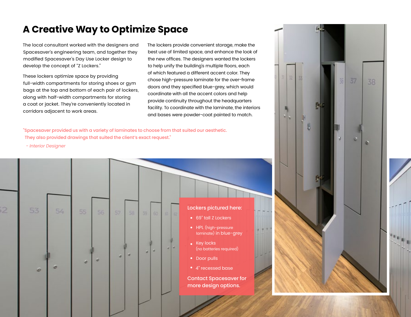#### **A Creative Way to Optimize Space**

The local consultant worked with the designers and Spacesaver's engineering team, and together they modified Spacesaver's Day Use Locker design to develop the concept of "Z Lockers."

These lockers optimize space by providing full-width compartments for storing shoes or gym bags at the top and bottom of each pair of lockers, along with half-width compartments for storing a coat or jacket. They're conveniently located in corridors adjacent to work areas.

The lockers provide convenient storage, make the best use of limited space, and enhance the look of the new offices. The designers wanted the lockers to help unify the building's multiple floors, each of which featured a different accent color. They chose high-pressure laminate for the over-frame doors and they specified blue-grey, which would coordinate with all the accent colors and help provide continuity throughout the headquarters facility. To coordinate with the laminate, the interiors and bases were powder-coat painted to match.

"Spacesaver provided us with a variety of laminates to choose from that suited our aesthetic. They also provided drawings that suited the client's exact request."

 *- Interior Designer*

 $54$ 

**Let** 

ø



- 69" tall Z Lockers
- HPL (high-pressure laminate) in blue-grey
- Key locks (no batteries required)
- Door pulls
- 4" recessed base

Contact Spacesaver for more design options.